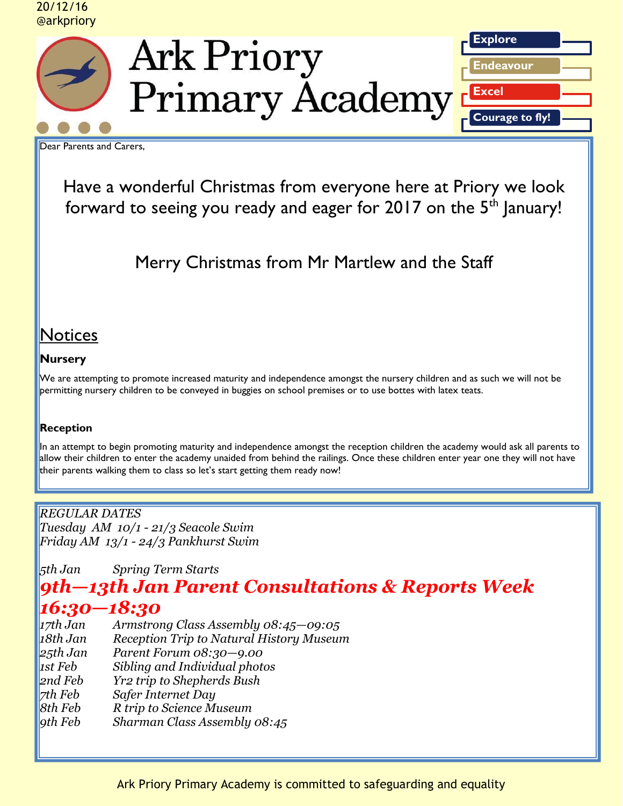#### 20/12/16 @arkpriory



**Ark Priory** Primary Academy<sup>r</sup>



Dear Parents and Carers,

Have a wonderful Christmas from everyone here at Priory we look forward to seeing you ready and eager for  $2017$  on the  $5<sup>th</sup>$  January!

Merry Christmas from Mr Martlew and the Staff

# **Notices**

## **Nursery**

We are attempting to promote increased maturity and independence amongst the nursery children and as such we will not be permitting nursery children to be conveyed in buggies on school premises or to use bottes with latex teats.

### **Reception**

In an attempt to begin promoting maturity and independence amongst the reception children the academy would ask all parents to allow their children to enter the academy unaided from behind the railings. Once these children enter year one they will not have their parents walking them to class so let's start getting them ready now!

*REGULAR DATES Tuesday AM 10/1 - 21/3 Seacole Swim Friday AM 13/1 - 24/3 Pankhurst Swim* 

*5th Jan Spring Term Starts* 

# *9th—13th Jan Parent Consultations & Reports Week 16:30—18:30*

| 17th Jan | Armstrong Class Assembly $08:45 - 09:05$                 |
|----------|----------------------------------------------------------|
| 18th Jan | Reception Trip to Natural History Museum                 |
| 25th Jan | Parent Forum 08:30-9.00                                  |
| 1st Feb  | Sibling and Individual photos                            |
| 2nd Feb  | <b>Yr2 trip to Shepherds Bush</b>                        |
| 7th Feb  | Safer Internet Day                                       |
| 8th Feb  |                                                          |
| 9th Feb  |                                                          |
|          | R trip to Science Museum<br>Sharman Class Assembly 08:45 |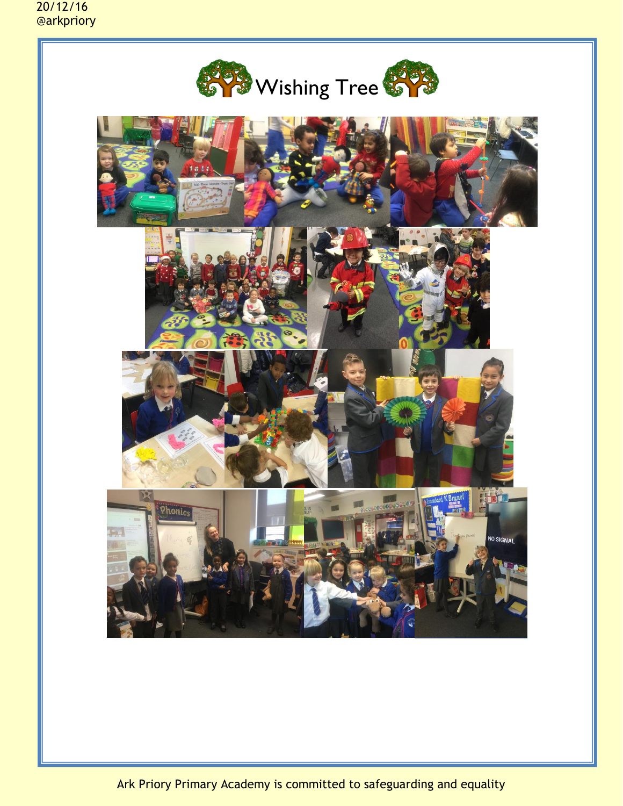20/12/16 @arkpriory